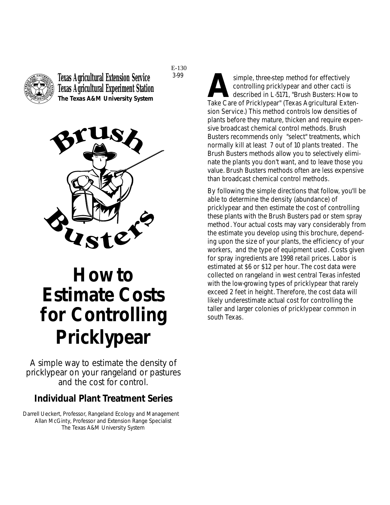

**Texas Agricultural Extension Service Texas Agricultural Experiment Station The Texas A&M University System**



# **How to Estimate Costs for Controlling Pricklypear**

*A simple way to estimate the density of pricklypear on your rangeland or pastures and the cost for control.*

#### **Individual Plant Treatment Series**

Darrell Ueckert, Professor, Rangeland Ecology and Management Allan McGinty, Professor and Extension Range Specialist The Texas A&M University System

simple, three-step method for effectively<br>controlling pricklypear and other cacti is<br>described in L-5171, "Brush Busters: How<br>Take Care of Pricklypear" (Texas Agricultural Ext controlling pricklypear and other cacti is described in L-5171, "Brush Busters: How to Take Care of Pricklypear" (Texas Agricultural Extension Service.) This method controls low densities of plants before they mature, thicken and require expensive broadcast chemical control methods. Brush Busters recommends only "select" treatments, which normally kill at least 7 out of 10 plants treated. The Brush Busters methods allow you to selectively eliminate the plants you don't want, and to leave those you value. Brush Busters methods often are less expensive than broadcast chemical control methods.

By following the simple directions that follow, you'll be able to determine the density (abundance) of pricklypear and then estimate the cost of controlling these plants with the Brush Busters pad or stem spray method. Your actual costs may vary considerably from the estimate you develop using this brochure, depending upon the size of your plants, the efficiency of your workers, and the type of equipment used. Costs given for spray ingredients are 1998 retail prices. Labor is estimated at \$6 or \$12 per hour. The cost data were collected on rangeland in west central Texas infested with the low-growing types of pricklypear that rarely exceed 2 feet in height. Therefore, the cost data will likely underestimate actual cost for controlling the taller and larger colonies of pricklypear common in south Texas.

3-99 E-130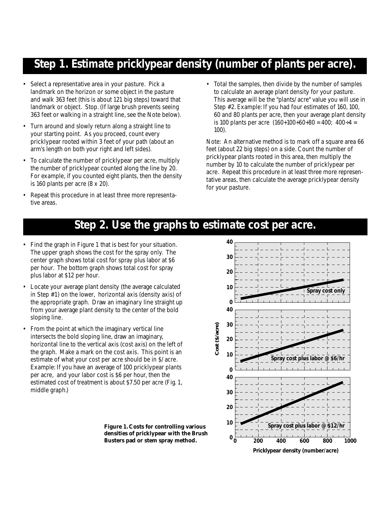### **Step 1. Estimate pricklypear density (number of plants per acre).**

- Select a representative area in your pasture. Pick a landmark on the horizon or some object in the pasture and walk 363 feet (this is about 121 big steps) toward that landmark or object. Stop. (If large brush prevents seeing 363 feet or walking in a straight line, see the Note below).
- Turn around and slowly return along a straight line to your starting point. As you proceed, count every pricklypear rooted within 3 feet of your path (about an arm's length on both your right and left sides).
- To calculate the number of pricklypear per acre, multiply the number of pricklypear counted along the line by 20. For example, if you counted eight plants, then the density is 160 plants per acre (8 x 20).
- Repeat this procedure in at least three more representative areas.

• Total the samples, then divide by the number of samples to calculate an average plant density for your pasture. This average will be the "plants/acre" value you will use in Step #2. Example: If you had four estimates of 160, 100, 60 and 80 plants per acre, then your average plant density is 100 plants per acre  $(160+100+60+80 = 400; 400 \div 4 = 100$ 100).

Note: An alternative method is to mark off a square area 66 feet (about 22 big steps) on a side. Count the number of pricklypear plants rooted in this area, then multiply the number by 10 to calculate the number of pricklypear per acre. Repeat this procedure in at least three more representative areas, then calculate the average pricklypear density for your pasture.

**Spray cost** 

**Spray cost plus labor @ \$6/hr**

## **Step 2. Use the graphs to estimate cost per acre.**

- Find the graph in Figure 1 that is best for your situation. The upper graph shows the cost for the spray only. The center graph shows total cost for spray plus labor at \$6 per hour. The bottom graph shows total cost for spray plus labor at \$12 per hour.
- Locate your average plant density (the average calculated in Step #1) on the lower, horizontal axis (density axis) of the appropriate graph. Draw an imaginary line straight up from your average plant density to the center of the bold sloping line.
- From the point at which the imaginary vertical line intersects the bold sloping line, draw an imaginary, horizontal line to the vertical axis (cost axis) on the left of the graph. Make a mark on the cost axis. This point is an estimate of what your cost per acre should be in \$/acre. Example: If you have an average of 100 pricklypear plants per acre, and your labor cost is \$6 per hour, then the estimated cost of treatment is about \$7.50 per acre (Fig. 1, middle graph.)

**10 20 30**  $\mathbf{0}^{\perp}_{\mathbf{0}}$ **Spray cost plus labor @ \$12/hr 0 200 400 Pricklypear density (number/acre) Busters pad or stem spray method.**  $\begin{bmatrix} 0 & 200 & 400 & 600 & 800 & 1000 \end{bmatrix}$ 

**10**

**0**

**40**

**20**

**Cost (\$/acre)**

Cost (\$/acre)

**30**

**40**

**0**

**10**

**20**

**30**

**40**

**Figure 1. Costs for controlling various densities of pricklypear with the Brush**